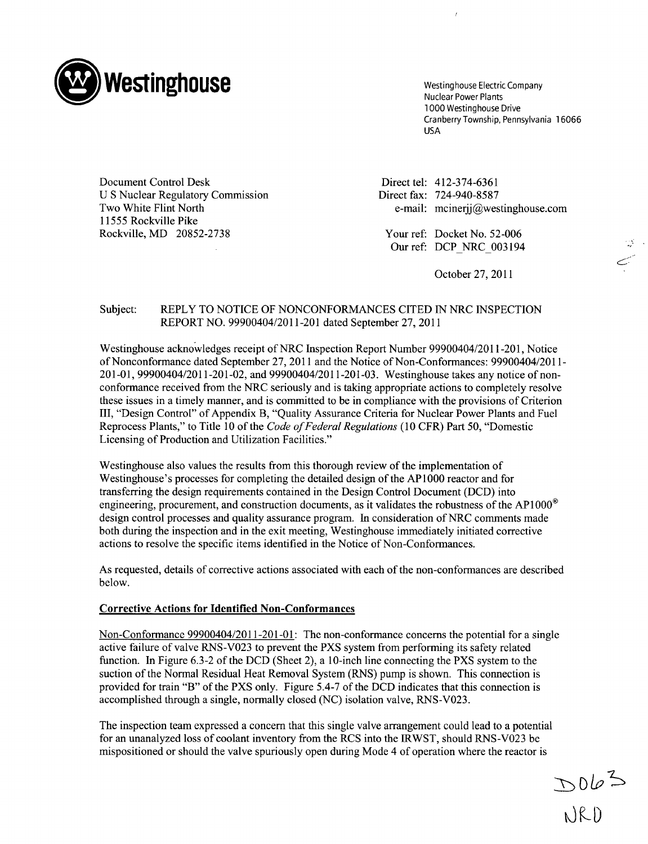

1000 Westinghouse Drive Cranberry Township, Pennsylvania 16066 USA

Document Control Desk Direct tel: 412-374-6361 U S Nuclear Regulatory Commission Direct fax: 724-940-8587 11555 Rockville Pike Rockville, MD 20852-2738 Your ref: Docket No. 52-006

Two White Flint North e-mail: mcinerjj@westinghouse.com

Our ref: DCP NRC 003194

October 27, 2011

## Subject: REPLY TO NOTICE OF NONCONFORMANCES CITED **IN** NRC INSPECTION REPORT NO. 99900404/2011-201 dated September 27, 2011

Westinghouse acknowledges receipt of NRC Inspection Report Number 99900404/2011-201, Notice of Nonconformance dated September 27, 2011 and the Notice of Non-Conformances: 99900404/2011- 201-01, 99900404/2011-201-02, and 99900404/2011-201-03. Westinghouse takes any notice of nonconformance received from the NRC seriously and is taking appropriate actions to completely resolve these issues in a timely manner, and is committed to be in compliance with the provisions of Criterion III, "Design Control" of Appendix B, "Quality Assurance Criteria for Nuclear Power Plants and Fuel Reprocess Plants," to Title 10 of the *Code of Federal Regulations* (10 CFR) Part 50, "Domestic Licensing of Production and Utilization Facilities."

Westinghouse also values the results from this thorough review of the implementation of Westinghouse's processes for completing the detailed design of the AP1000 reactor and for transferring the design requirements contained in the Design Control Document (DCD) into engineering, procurement, and construction documents, as it validates the robustness of the AP1000<sup>®</sup> design control processes and quality assurance program. In consideration of NRC comments made both during the inspection and in the exit meeting, Westinghouse immediately initiated corrective actions to resolve the specific items identified in the Notice of Non-Conformances.

As requested, details of corrective actions associated with each of the non-conformances are described below.

## Corrective Actions for Identified Non-Conformances

Non-Conformance 99900404/2011-201-01: The non-conformance concerns the potential for a single active failure of valve RNS-V023 to prevent the PXS system from performing its safety related function. In Figure 6.3-2 of the DCD (Sheet 2), a 10-inch line connecting the PXS system to the suction of the Normal Residual Heat Removal System (RNS) pump is shown. This connection is provided for train "B" of the PXS only. Figure 5.4-7 of the DCD indicates that this connection is accomplished through a single, normally closed (NC) isolation valve, RNS-V023.

The inspection team expressed a concern that this single valve arrangement could lead to a potential for an unanalyzed loss of coolant inventory from the RCS into the IRWST, should RNS-V023 be mispositioned or should the valve spuriously open during Mode 4 of operation where the reactor is

 $D062$ <br>NRD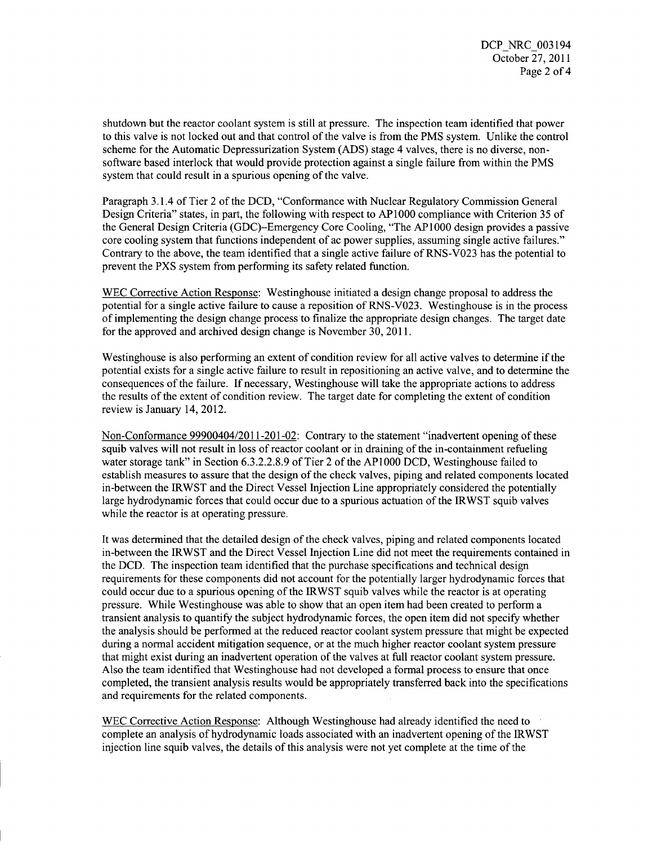shutdown but the reactor coolant system is still at pressure. The inspection team identified that power to this valve is not locked out and that control of the valve is from the PMS system. Unlike the control scheme for the Automatic Depressurization System (ADS) stage 4 valves, there is no diverse, nonsoftware based interlock that would provide protection against a single failure from within the PMS system that could result in a spurious opening of the valve.

Paragraph 3.1.4 of Tier 2 of the DCD, "Conformance with Nuclear Regulatory Commission General Design Criteria" states, in part, the following with respect to AP1000 compliance with Criterion 35 of the General Design Criteria (GDC)-Emergency Core Cooling, "The AP 1000 design provides a passive core cooling system that functions independent of ac power supplies, assuming single active failures." Contrary to the above, the team identified that a single active failure of RNS-V023 has the potential to prevent the PXS system from performing its safety related function.

WEC Corrective Action Response: Westinghouse initiated a design change proposal to address the potential for a single active failure to cause a reposition of RNS-V023. Westinghouse is in the process of implementing the design change process to finalize the appropriate design changes. The target date for the approved and archived design change is November 30, 2011.

Westinghouse is also performing an extent of condition review for all active valves to determine if the potential exists for a single active failure to result in repositioning an active valve, and to determine the consequences of the failure. If necessary, Westinghouse will take the appropriate actions to address the results of the extent of condition review. The target date for completing the extent of condition review is January 14, 2012.

Non-Conformance 99900404/2011-201-02: Contrary to the statement "inadvertent opening of these squib valves will not result in loss of reactor coolant or in draining of the in-containment refueling water storage tank" in Section 6.3.2.2.8.9 of Tier 2 of the AP1000 DCD, Westinghouse failed to establish measures to assure that the design of the check valves, piping and related components located in-between the IRWST and the Direct Vessel Injection Line appropriately considered the potentially large hydrodynamic forces that could occur due to a spurious actuation of the IRWST squib valves while the reactor is at operating pressure.

It was determined that the detailed design of the check valves, piping and related components located in-between the IRWST and the Direct Vessel Injection Line did not meet the requirements contained in the DCD. The inspection team identified that the purchase specifications and technical design requirements for these components did not account for the potentially larger hydrodynamic forces that could occur due to a spurious opening of the IRWST squib valves while the reactor is at operating pressure. While Westinghouse was able to show that an open item had been created to perform a transient analysis to quantify the subject hydrodynamic forces, the open item did not specify whether the analysis should be performed at the reduced reactor coolant system pressure that might be expected during a normal accident mitigation sequence, or at the much higher reactor coolant system pressure that might exist during an inadvertent operation of the valves at full reactor coolant system pressure. Also the team identified that Westinghouse had not developed a formal process to ensure that once completed, the transient analysis results would be appropriately transferred back into the specifications and requirements for the related components.

WEC Corrective Action Response: Although Westinghouse had already identified the need to complete an analysis of hydrodynamic loads associated with an inadvertent opening of the IRWST injection line squib valves, the details of this analysis were not yet complete at the time of the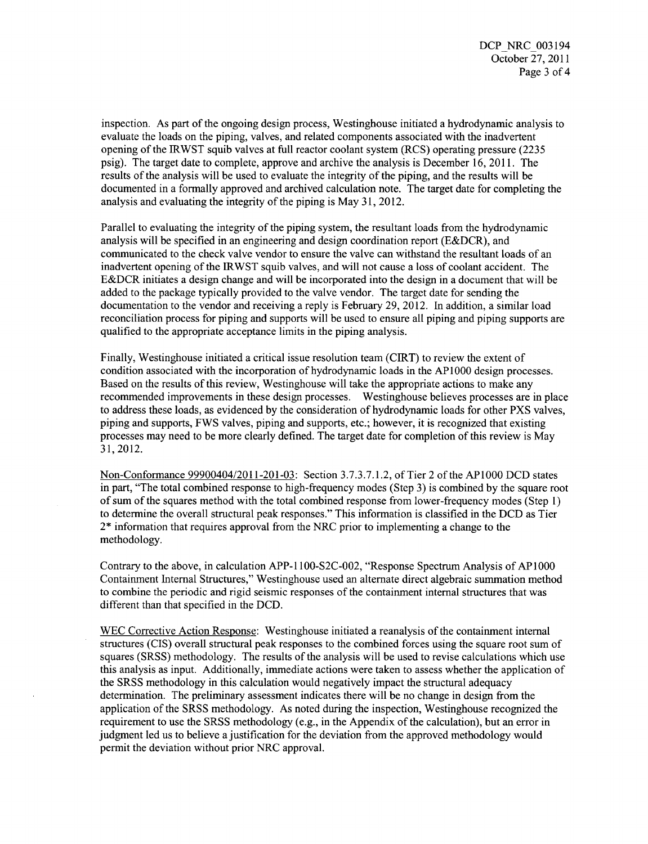inspection. As part of the ongoing design process, Westinghouse initiated a hydrodynamic analysis to evaluate the loads on the piping, valves, and related components associated with the inadvertent opening of the IRWST squib valves at full reactor coolant system (RCS) operating pressure (2235 psig). The target date to complete, approve and archive the analysis is December 16, 2011. The results of the analysis will be used to evaluate the integrity of the piping, and the results will be documented in a formally approved and archived calculation note. The target date for completing the analysis and evaluating the integrity of the piping is May 31, 2012.

Parallel to evaluating the integrity of the piping system, the resultant loads from the hydrodynamic analysis will be specified in an engineering and design coordination report (E&DCR), and communicated to the check valve vendor to ensure the valve can withstand the resultant loads of an inadvertent opening of the IRWST squib valves, and will not cause a loss of coolant accident. The E&DCR initiates a design change and will be incorporated into the design in a document that will be added to the package typically provided to the valve vendor. The target date for sending the documentation to the vendor and receiving a reply is February 29, 2012. In addition, a similar load reconciliation process for piping and supports will be used to ensure all piping and piping supports are qualified to the appropriate acceptance limits in the piping analysis.

Finally, Westinghouse initiated a critical issue resolution team (CIRT) to review the extent of condition associated with the incorporation of hydrodynamic loads in the **AP1000** design processes. Based on the results of this review, Westinghouse will take the appropriate actions to make any recommended improvements in these design processes. Westinghouse believes processes are in place to address these loads, as evidenced by the consideration of hydrodynamic loads for other PXS valves, piping and supports, FWS valves, piping and supports, etc.; however, it is recognized that existing processes may need to be more clearly defined. The target date for completion of this review is May 31, 2012.

Non-Conformance 99900404/2011-201-03: Section 3.7.3.7.1.2, of Tier 2 of the AP1000 DCD states in part, "The total combined response to high-frequency modes (Step 3) is combined by the square root of sum of the squares method with the total combined response from lower-frequency modes (Step **1)** to determine the overall structural peak responses." This information is classified in the DCD as Tier 2\* information that requires approval from the NRC prior to implementing a change to the methodology.

Contrary to the above, in calculation APP- 1100-\$2C-002, "Response Spectrum Analysis of **AP1000** Containment Internal Structures," Westinghouse used an alternate direct algebraic summation method to combine the periodic and rigid seismic responses of the containment internal structures that was different than that specified in the DCD.

WEC Corrective Action Response: Westinghouse initiated a reanalysis of the containment internal structures (CIS) overall structural peak responses to the combined forces using the square root sum of squares (SRSS) methodology. The results of the analysis will be used to revise calculations which use this analysis as input. Additionally, immediate actions were taken to assess whether the application of the SRSS methodology in this calculation would negatively impact the structural adequacy determination. The preliminary assessment indicates there will be no change in design from the application of the SRSS methodology. As noted during the inspection, Westinghouse recognized the requirement to use the SRSS methodology (e.g., in the Appendix of the calculation), but an error in judgment led us to believe a justification for the deviation from the approved methodology would permit the deviation without prior NRC approval.